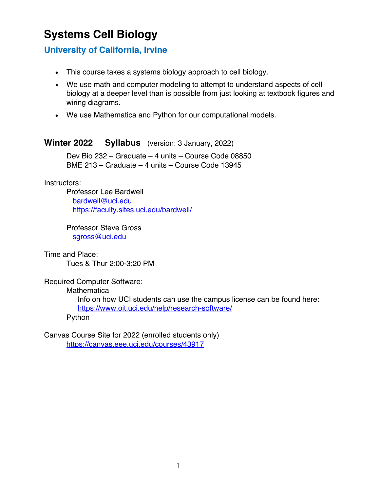# **Systems Cell Biology**

# **University of California, Irvine**

- This course takes a systems biology approach to cell biology.
- We use math and computer modeling to attempt to understand aspects of cell biology at a deeper level than is possible from just looking at textbook figures and wiring diagrams.
- We use Mathematica and Python for our computational models.

## **Winter 2022 Syllabus** (version: 3 January, 2022)

Dev Bio 232 – Graduate – 4 units – Course Code 08850 BME 213 – Graduate – 4 units – Course Code 13945

#### Instructors:

Professor Lee Bardwell bardwell@uci.edu https://faculty.sites.uci.edu/bardwell/

Professor Steve Gross sgross@uci.edu

Time and Place:

Tues & Thur 2:00-3:20 PM

Required Computer Software:

**Mathematica** 

Info on how UCI students can use the campus license can be found here: https://www.oit.uci.edu/help/research-software/

Python

Canvas Course Site for 2022 (enrolled students only) https://canvas.eee.uci.edu/courses/43917